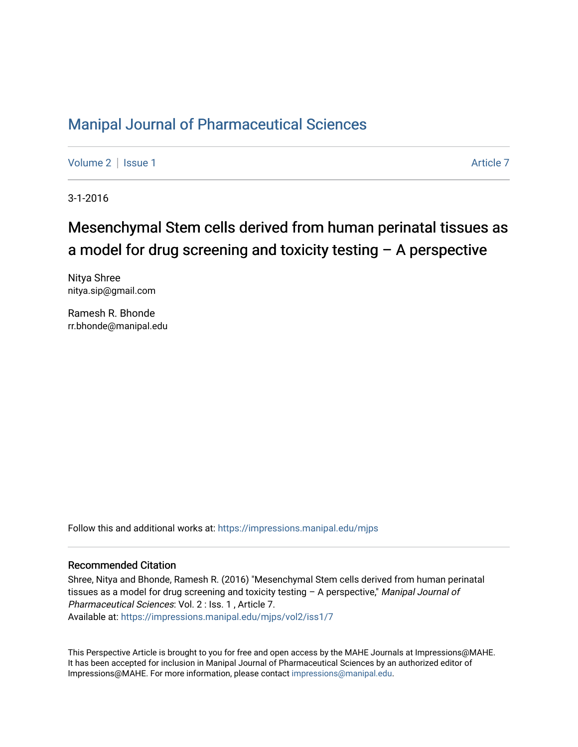## [Manipal Journal of Pharmaceutical Sciences](https://impressions.manipal.edu/mjps)

[Volume 2](https://impressions.manipal.edu/mjps/vol2) | [Issue 1](https://impressions.manipal.edu/mjps/vol2/iss1) Article 7

3-1-2016

# Mesenchymal Stem cells derived from human perinatal tissues as a model for drug screening and toxicity testing – A perspective

Nitya Shree nitya.sip@gmail.com

Ramesh R. Bhonde rr.bhonde@manipal.edu

Follow this and additional works at: [https://impressions.manipal.edu/mjps](https://impressions.manipal.edu/mjps?utm_source=impressions.manipal.edu%2Fmjps%2Fvol2%2Fiss1%2F7&utm_medium=PDF&utm_campaign=PDFCoverPages)

#### Recommended Citation

Shree, Nitya and Bhonde, Ramesh R. (2016) "Mesenchymal Stem cells derived from human perinatal tissues as a model for drug screening and toxicity testing - A perspective," Manipal Journal of Pharmaceutical Sciences: Vol. 2 : Iss. 1 , Article 7. Available at: [https://impressions.manipal.edu/mjps/vol2/iss1/7](https://impressions.manipal.edu/mjps/vol2/iss1/7?utm_source=impressions.manipal.edu%2Fmjps%2Fvol2%2Fiss1%2F7&utm_medium=PDF&utm_campaign=PDFCoverPages)

This Perspective Article is brought to you for free and open access by the MAHE Journals at Impressions@MAHE. It has been accepted for inclusion in Manipal Journal of Pharmaceutical Sciences by an authorized editor of Impressions@MAHE. For more information, please contact [impressions@manipal.edu](mailto:impressions@manipal.edu).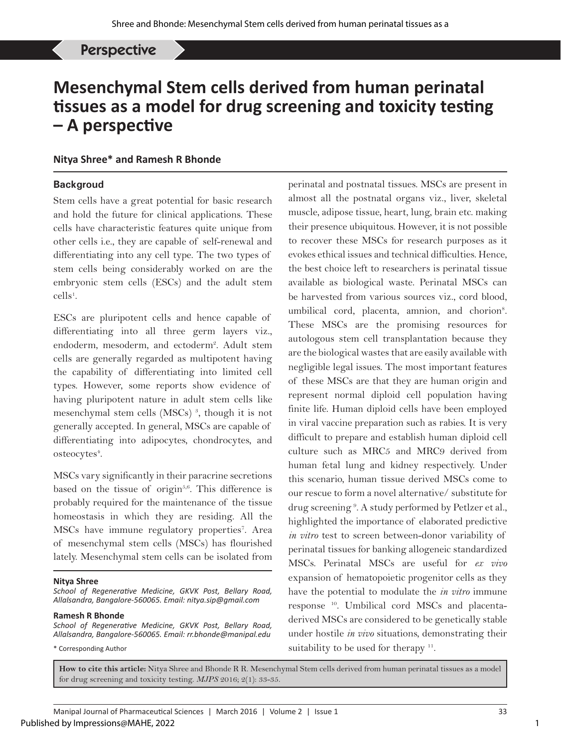Nitya Shree, *et al*: Mesenchymal Stem cells derived from human perinatal tissues Perspective

## **Mesenchymal Stem cells derived from human perinatal tissues as a model for drug screening and toxicity testing – A perspective**

## **Nitya Shree\* and Ramesh R Bhonde**

### **Backgroud**

Stem cells have a great potential for basic research and hold the future for clinical applications. These cells have characteristic features quite unique from other cells i.e., they are capable of self-renewal and differentiating into any cell type. The two types of stem cells being considerably worked on are the embryonic stem cells (ESCs) and the adult stem  $\text{cells}^1$ .

ESCs are pluripotent cells and hence capable of differentiating into all three germ layers viz., endoderm, mesoderm, and ectoderm<sup>2</sup>. Adult stem cells are generally regarded as multipotent having the capability of differentiating into limited cell types. However, some reports show evidence of having pluripotent nature in adult stem cells like mesenchymal stem cells (MSCs)<sup>3</sup>, though it is not generally accepted. In general, MSCs are capable of differentiating into adipocytes, chondrocytes, and osteocytes<sup>4</sup>.

MSCs vary significantly in their paracrine secretions based on the tissue of origin<sup>5,6</sup>. This difference is probably required for the maintenance of the tissue homeostasis in which they are residing. All the MSCs have immune regulatory properties<sup>7</sup>. Area of mesenchymal stem cells (MSCs) has flourished lately. Mesenchymal stem cells can be isolated from

#### **Nitya Shree**

*School of Regenerative Medicine, GKVK Post, Bellary Road, Allalsandra, Bangalore-560065. Email: nitya.sip@gmail.com*

#### **Ramesh R Bhonde**

*School of Regenerative Medicine, GKVK Post, Bellary Road, Allalsandra, Bangalore-560065. Email: rr.bhonde@manipal.edu*

\* Corresponding Author

perinatal and postnatal tissues. MSCs are present in almost all the postnatal organs viz., liver, skeletal muscle, adipose tissue, heart, lung, brain etc. making their presence ubiquitous. However, it is not possible to recover these MSCs for research purposes as it evokes ethical issues and technical difficulties. Hence, the best choice left to researchers is perinatal tissue available as biological waste. Perinatal MSCs can be harvested from various sources viz., cord blood, umbilical cord, placenta, amnion, and chorion<sup>8</sup>. These MSCs are the promising resources for autologous stem cell transplantation because they are the biological wastes that are easily available with negligible legal issues. The most important features of these MSCs are that they are human origin and represent normal diploid cell population having finite life. Human diploid cells have been employed in viral vaccine preparation such as rabies. It is very difficult to prepare and establish human diploid cell culture such as MRC5 and MRC9 derived from human fetal lung and kidney respectively. Under this scenario, human tissue derived MSCs come to our rescue to form a novel alternative/ substitute for drug screening<sup>9</sup>. A study performed by Petlzer et al., highlighted the importance of elaborated predictive *in vitro* test to screen between-donor variability of perinatal tissues for banking allogeneic standardized MSCs. Perinatal MSCs are useful for *ex vivo* expansion of hematopoietic progenitor cells as they have the potential to modulate the *in vitro* immune response 10. Umbilical cord MSCs and placentaderived MSCs are considered to be genetically stable under hostile *in vivo* situations, demonstrating their suitability to be used for therapy <sup>11</sup>.

**How to cite this article:** Nitya Shree and Bhonde R R. Mesenchymal Stem cells derived from human perinatal tissues as a model for drug screening and toxicity testing. *MJPS* 2016; 2(1): 33-35.

1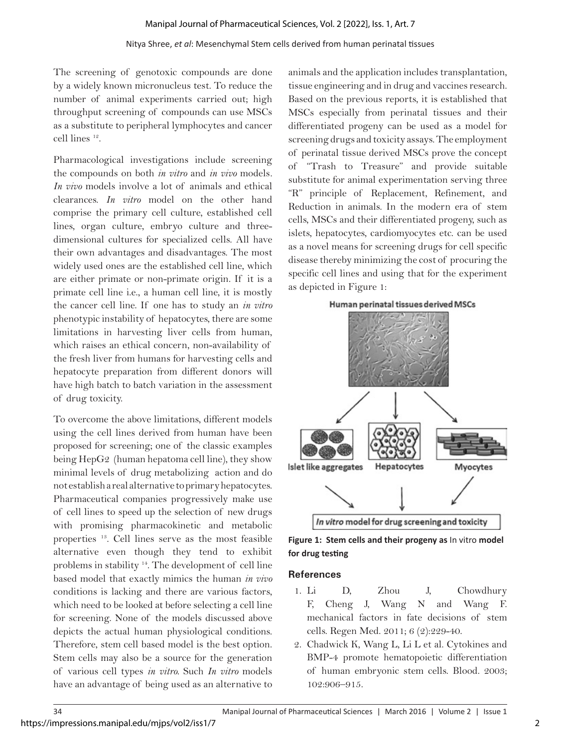#### Nitya Shree, *et al*: Mesenchymal Stem cells derived from human perinatal tissues

The screening of genotoxic compounds are done by a widely known micronucleus test. To reduce the number of animal experiments carried out; high throughput screening of compounds can use MSCs as a substitute to peripheral lymphocytes and cancer cell lines 12.

Pharmacological investigations include screening the compounds on both *in vitro* and *in vivo* models*. In vivo* models involve a lot of animals and ethical clearances. *In vitro* model on the other hand comprise the primary cell culture, established cell lines, organ culture, embryo culture and threedimensional cultures for specialized cells. All have their own advantages and disadvantages. The most widely used ones are the established cell line, which are either primate or non-primate origin. If it is a primate cell line i.e., a human cell line, it is mostly the cancer cell line. If one has to study an *in vitro* phenotypic instability of hepatocytes, there are some limitations in harvesting liver cells from human, which raises an ethical concern, non-availability of the fresh liver from humans for harvesting cells and hepatocyte preparation from different donors will have high batch to batch variation in the assessment of drug toxicity.

To overcome the above limitations, different models using the cell lines derived from human have been proposed for screening; one of the classic examples being HepG2 (human hepatoma cell line), they show minimal levels of drug metabolizing action and do not establish a real alternative to primary hepatocytes. Pharmaceutical companies progressively make use of cell lines to speed up the selection of new drugs with promising pharmacokinetic and metabolic properties 13. Cell lines serve as the most feasible alternative even though they tend to exhibit problems in stability 14. The development of cell line based model that exactly mimics the human *in vivo* conditions is lacking and there are various factors, which need to be looked at before selecting a cell line for screening. None of the models discussed above depicts the actual human physiological conditions. Therefore, stem cell based model is the best option. Stem cells may also be a source for the generation of various cell types *in vitro.* Such *In vitro* models have an advantage of being used as an alternative to

animals and the application includes transplantation, tissue engineering and in drug and vaccines research. Based on the previous reports, it is established that MSCs especially from perinatal tissues and their differentiated progeny can be used as a model for screening drugs and toxicity assays. The employment of perinatal tissue derived MSCs prove the concept of "Trash to Treasure" and provide suitable substitute for animal experimentation serving three "R" principle of Replacement, Refinement, and Reduction in animals. In the modern era of stem cells, MSCs and their differentiated progeny, such as islets, hepatocytes, cardiomyocytes etc. can be used as a novel means for screening drugs for cell specific disease thereby minimizing the cost of procuring the specific cell lines and using that for the experiment as depicted in Figure 1:



**Figure 1: Stem cells and their progeny as** In vitro **model for drug testing**

### **References**

- 1. Li D, Zhou J, Chowdhury F, Cheng J, Wang N and Wang F. mechanical factors in fate decisions of stem cells. Regen Med. 2011; 6 (2):229-40.
- 2. Chadwick K, Wang L, Li L et al. Cytokines and BMP-4 promote hematopoietic differentiation of human embryonic stem cells. Blood. 2003; 102:906–915.